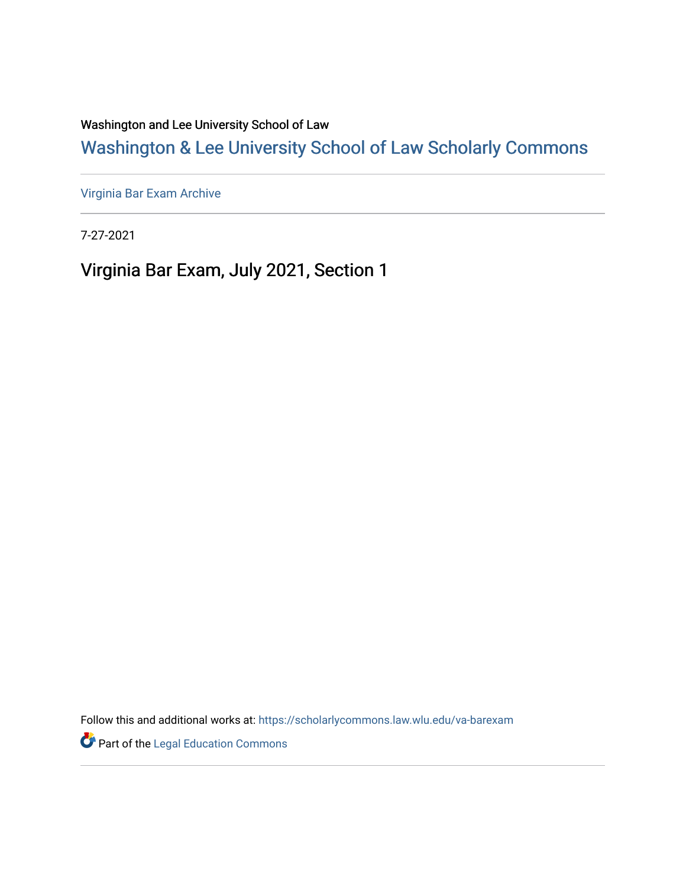Washington and Lee University School of Law

[Washington & Lee University School of Law Scholarly Commons](https://scholarlycommons.law.wlu.edu/) 

[Virginia Bar Exam Archive](https://scholarlycommons.law.wlu.edu/va-barexam)

7-27-2021

Virginia Bar Exam, July 2021, Section 1

Follow this and additional works at: [https://scholarlycommons.law.wlu.edu/va-barexam](https://scholarlycommons.law.wlu.edu/va-barexam?utm_source=scholarlycommons.law.wlu.edu%2Fva-barexam%2F213&utm_medium=PDF&utm_campaign=PDFCoverPages) 

**Part of the Legal Education Commons**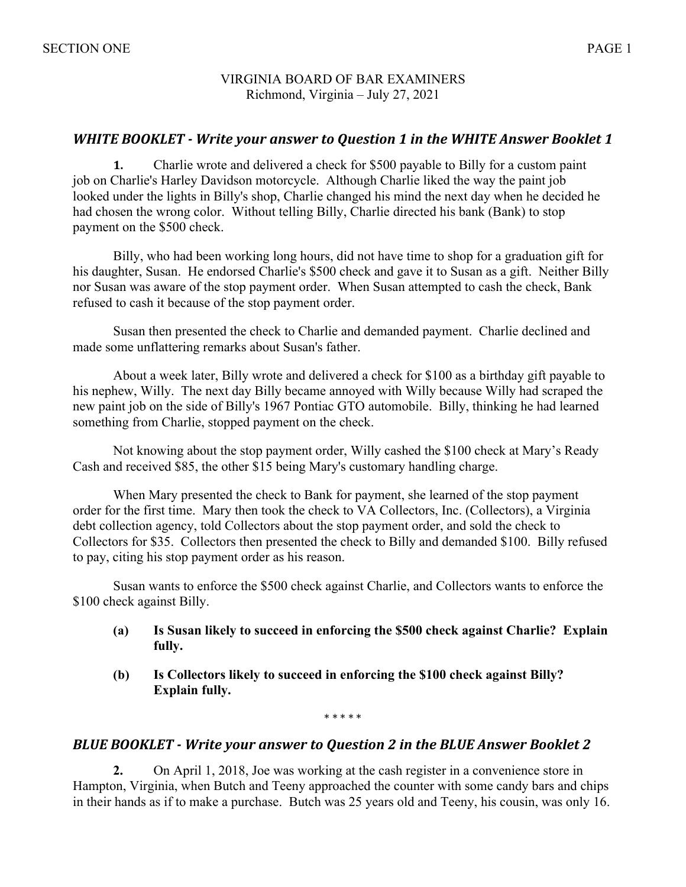## VIRGINIA BOARD OF BAR EXAMINERS Richmond, Virginia – July 27, 2021

# *WHITE BOOKLET* - *Write your answer to Question 1 in the WHITE Answer Booklet 1*

**1.** Charlie wrote and delivered a check for \$500 payable to Billy for a custom paint job on Charlie's Harley Davidson motorcycle. Although Charlie liked the way the paint job looked under the lights in Billy's shop, Charlie changed his mind the next day when he decided he had chosen the wrong color. Without telling Billy, Charlie directed his bank (Bank) to stop payment on the \$500 check.

Billy, who had been working long hours, did not have time to shop for a graduation gift for his daughter, Susan. He endorsed Charlie's \$500 check and gave it to Susan as a gift. Neither Billy nor Susan was aware of the stop payment order. When Susan attempted to cash the check, Bank refused to cash it because of the stop payment order.

Susan then presented the check to Charlie and demanded payment. Charlie declined and made some unflattering remarks about Susan's father.

About a week later, Billy wrote and delivered a check for \$100 as a birthday gift payable to his nephew, Willy. The next day Billy became annoyed with Willy because Willy had scraped the new paint job on the side of Billy's 1967 Pontiac GTO automobile. Billy, thinking he had learned something from Charlie, stopped payment on the check.

Not knowing about the stop payment order, Willy cashed the \$100 check at Mary's Ready Cash and received \$85, the other \$15 being Mary's customary handling charge.

When Mary presented the check to Bank for payment, she learned of the stop payment order for the first time. Mary then took the check to VA Collectors, Inc. (Collectors), a Virginia debt collection agency, told Collectors about the stop payment order, and sold the check to Collectors for \$35. Collectors then presented the check to Billy and demanded \$100. Billy refused to pay, citing his stop payment order as his reason.

Susan wants to enforce the \$500 check against Charlie, and Collectors wants to enforce the \$100 check against Billy.

- **(a) Is Susan likely to succeed in enforcing the \$500 check against Charlie? Explain fully.**
- **(b) Is Collectors likely to succeed in enforcing the \$100 check against Billy? Explain fully.**

\* \* \* \* \*

## **BLUE BOOKLET** - Write your answer to Question 2 in the BLUE Answer Booklet 2

**2.** On April 1, 2018, Joe was working at the cash register in a convenience store in Hampton, Virginia, when Butch and Teeny approached the counter with some candy bars and chips in their hands as if to make a purchase. Butch was 25 years old and Teeny, his cousin, was only 16.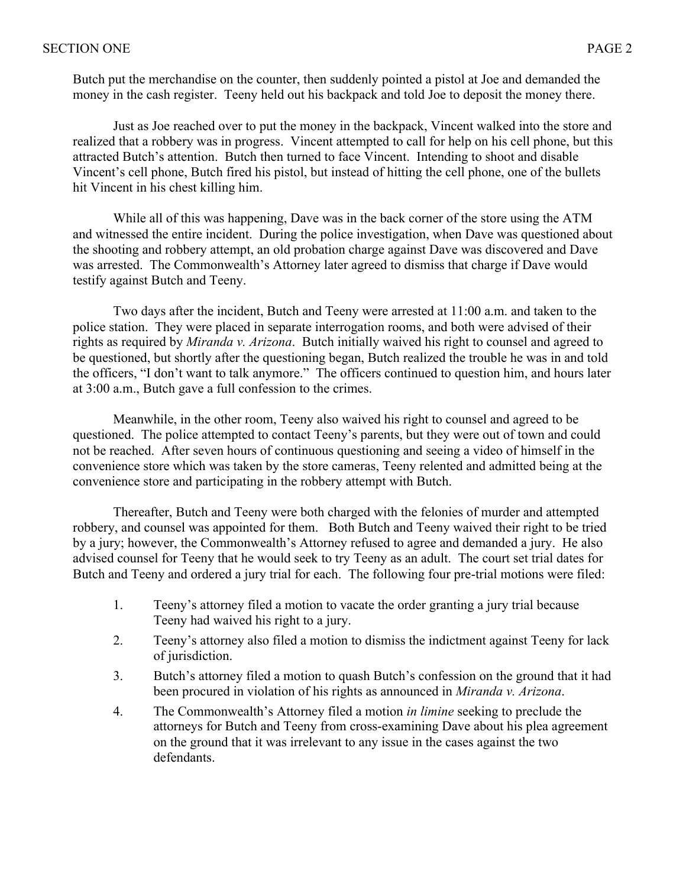Butch put the merchandise on the counter, then suddenly pointed a pistol at Joe and demanded the money in the cash register. Teeny held out his backpack and told Joe to deposit the money there.

Just as Joe reached over to put the money in the backpack, Vincent walked into the store and realized that a robbery was in progress. Vincent attempted to call for help on his cell phone, but this attracted Butch's attention. Butch then turned to face Vincent. Intending to shoot and disable Vincent's cell phone, Butch fired his pistol, but instead of hitting the cell phone, one of the bullets hit Vincent in his chest killing him.

While all of this was happening, Dave was in the back corner of the store using the ATM and witnessed the entire incident. During the police investigation, when Dave was questioned about the shooting and robbery attempt, an old probation charge against Dave was discovered and Dave was arrested. The Commonwealth's Attorney later agreed to dismiss that charge if Dave would testify against Butch and Teeny.

Two days after the incident, Butch and Teeny were arrested at 11:00 a.m. and taken to the police station. They were placed in separate interrogation rooms, and both were advised of their rights as required by *Miranda v. Arizona*. Butch initially waived his right to counsel and agreed to be questioned, but shortly after the questioning began, Butch realized the trouble he was in and told the officers, "I don't want to talk anymore." The officers continued to question him, and hours later at 3:00 a.m., Butch gave a full confession to the crimes.

Meanwhile, in the other room, Teeny also waived his right to counsel and agreed to be questioned. The police attempted to contact Teeny's parents, but they were out of town and could not be reached. After seven hours of continuous questioning and seeing a video of himself in the convenience store which was taken by the store cameras, Teeny relented and admitted being at the convenience store and participating in the robbery attempt with Butch.

Thereafter, Butch and Teeny were both charged with the felonies of murder and attempted robbery, and counsel was appointed for them. Both Butch and Teeny waived their right to be tried by a jury; however, the Commonwealth's Attorney refused to agree and demanded a jury. He also advised counsel for Teeny that he would seek to try Teeny as an adult. The court set trial dates for Butch and Teeny and ordered a jury trial for each. The following four pre-trial motions were filed:

- 1. Teeny's attorney filed a motion to vacate the order granting a jury trial because Teeny had waived his right to a jury.
- 2. Teeny's attorney also filed a motion to dismiss the indictment against Teeny for lack of jurisdiction.
- 3. Butch's attorney filed a motion to quash Butch's confession on the ground that it had been procured in violation of his rights as announced in *Miranda v. Arizona*.
- 4. The Commonwealth's Attorney filed a motion *in limine* seeking to preclude the attorneys for Butch and Teeny from cross-examining Dave about his plea agreement on the ground that it was irrelevant to any issue in the cases against the two defendants.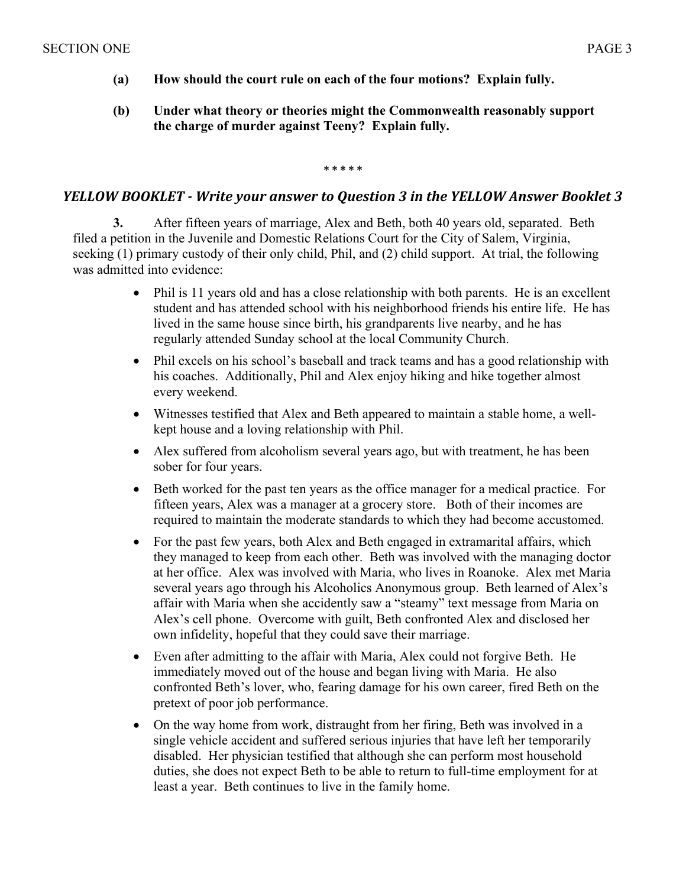- **(a) How should the court rule on each of the four motions? Explain fully.**
- **(b) Under what theory or theories might the Commonwealth reasonably support the charge of murder against Teeny? Explain fully.**

**\* \* \* \* \***

### *YELLOW BOOKLET* - *Write your answer to Question 3 in the YELLOW Answer Booklet 3*

**3.** After fifteen years of marriage, Alex and Beth, both 40 years old, separated. Beth filed a petition in the Juvenile and Domestic Relations Court for the City of Salem, Virginia, seeking (1) primary custody of their only child, Phil, and (2) child support. At trial, the following was admitted into evidence:

- Phil is 11 years old and has a close relationship with both parents. He is an excellent student and has attended school with his neighborhood friends his entire life. He has lived in the same house since birth, his grandparents live nearby, and he has regularly attended Sunday school at the local Community Church.
- Phil excels on his school's baseball and track teams and has a good relationship with his coaches. Additionally, Phil and Alex enjoy hiking and hike together almost every weekend.
- Witnesses testified that Alex and Beth appeared to maintain a stable home, a wellkept house and a loving relationship with Phil.
- Alex suffered from alcoholism several years ago, but with treatment, he has been sober for four years.
- Beth worked for the past ten years as the office manager for a medical practice. For fifteen years, Alex was a manager at a grocery store. Both of their incomes are required to maintain the moderate standards to which they had become accustomed.
- For the past few years, both Alex and Beth engaged in extramarital affairs, which they managed to keep from each other. Beth was involved with the managing doctor at her office. Alex was involved with Maria, who lives in Roanoke. Alex met Maria several years ago through his Alcoholics Anonymous group. Beth learned of Alex's affair with Maria when she accidently saw a "steamy" text message from Maria on Alex's cell phone. Overcome with guilt, Beth confronted Alex and disclosed her own infidelity, hopeful that they could save their marriage.
- Even after admitting to the affair with Maria, Alex could not forgive Beth. He immediately moved out of the house and began living with Maria. He also confronted Beth's lover, who, fearing damage for his own career, fired Beth on the pretext of poor job performance.
- On the way home from work, distraught from her firing, Beth was involved in a single vehicle accident and suffered serious injuries that have left her temporarily disabled. Her physician testified that although she can perform most household duties, she does not expect Beth to be able to return to full-time employment for at least a year. Beth continues to live in the family home.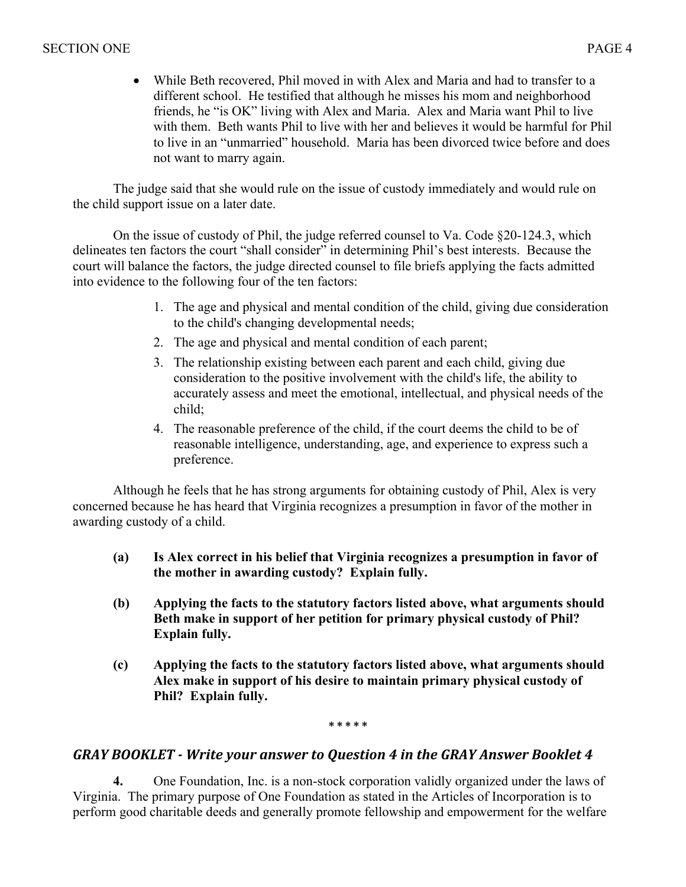• While Beth recovered, Phil moved in with Alex and Maria and had to transfer to a different school. He testified that although he misses his mom and neighborhood friends, he "is OK" living with Alex and Maria. Alex and Maria want Phil to live with them. Beth wants Phil to live with her and believes it would be harmful for Phil to live in an "unmarried" household. Maria has been divorced twice before and does not want to marry again.

The judge said that she would rule on the issue of custody immediately and would rule on the child support issue on a later date.

On the issue of custody of Phil, the judge referred counsel to Va. Code §20-124.3, which delineates ten factors the court "shall consider" in determining Phil's best interests. Because the court will balance the factors, the judge directed counsel to file briefs applying the facts admitted into evidence to the following four of the ten factors:

- 1. The age and physical and mental condition of the child, giving due consideration to the child's changing developmental needs;
- 2. The age and physical and mental condition of each parent;
- 3. The relationship existing between each parent and each child, giving due consideration to the positive involvement with the child's life, the ability to accurately assess and meet the emotional, intellectual, and physical needs of the child;
- 4. The reasonable preference of the child, if the court deems the child to be of reasonable intelligence, understanding, age, and experience to express such a preference.

Although he feels that he has strong arguments for obtaining custody of Phil, Alex is very concerned because he has heard that Virginia recognizes a presumption in favor of the mother in awarding custody of a child.

- **(a) Is Alex correct in his belief that Virginia recognizes a presumption in favor of the mother in awarding custody? Explain fully.**
- **(b) Applying the facts to the statutory factors listed above, what arguments should Beth make in support of her petition for primary physical custody of Phil? Explain fully.**
- **(c) Applying the facts to the statutory factors listed above, what arguments should Alex make in support of his desire to maintain primary physical custody of Phil? Explain fully.**

**\* \* \* \* \***

# GRAY BOOKLET - Write your answer to Question 4 in the GRAY Answer Booklet 4

**4.** One Foundation, Inc. is a non-stock corporation validly organized under the laws of Virginia. The primary purpose of One Foundation as stated in the Articles of Incorporation is to perform good charitable deeds and generally promote fellowship and empowerment for the welfare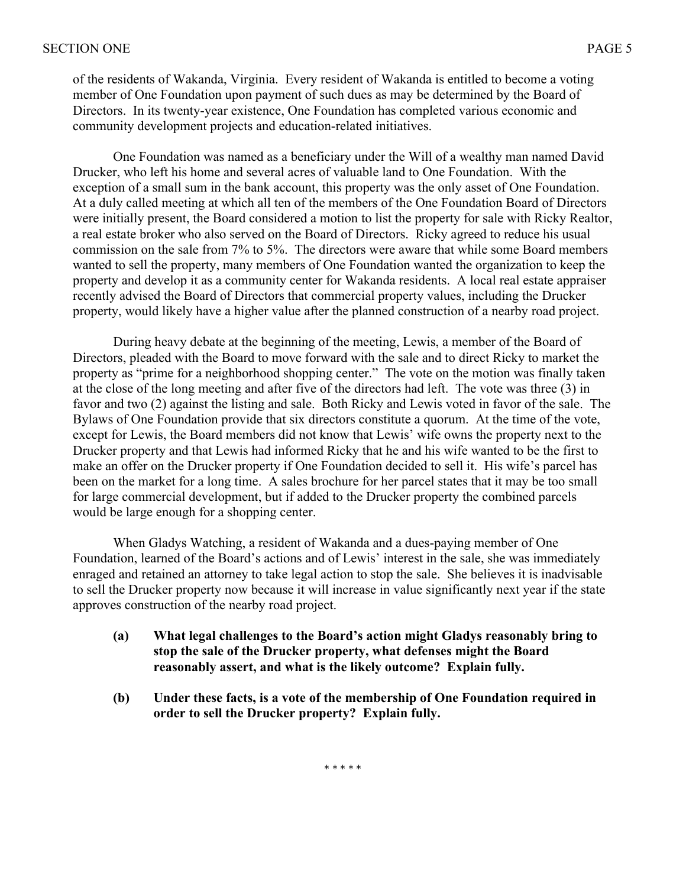of the residents of Wakanda, Virginia. Every resident of Wakanda is entitled to become a voting member of One Foundation upon payment of such dues as may be determined by the Board of Directors. In its twenty-year existence, One Foundation has completed various economic and community development projects and education-related initiatives.

One Foundation was named as a beneficiary under the Will of a wealthy man named David Drucker, who left his home and several acres of valuable land to One Foundation. With the exception of a small sum in the bank account, this property was the only asset of One Foundation. At a duly called meeting at which all ten of the members of the One Foundation Board of Directors were initially present, the Board considered a motion to list the property for sale with Ricky Realtor, a real estate broker who also served on the Board of Directors. Ricky agreed to reduce his usual commission on the sale from 7% to 5%. The directors were aware that while some Board members wanted to sell the property, many members of One Foundation wanted the organization to keep the property and develop it as a community center for Wakanda residents. A local real estate appraiser recently advised the Board of Directors that commercial property values, including the Drucker property, would likely have a higher value after the planned construction of a nearby road project.

During heavy debate at the beginning of the meeting, Lewis, a member of the Board of Directors, pleaded with the Board to move forward with the sale and to direct Ricky to market the property as "prime for a neighborhood shopping center." The vote on the motion was finally taken at the close of the long meeting and after five of the directors had left. The vote was three (3) in favor and two (2) against the listing and sale. Both Ricky and Lewis voted in favor of the sale. The Bylaws of One Foundation provide that six directors constitute a quorum. At the time of the vote, except for Lewis, the Board members did not know that Lewis' wife owns the property next to the Drucker property and that Lewis had informed Ricky that he and his wife wanted to be the first to make an offer on the Drucker property if One Foundation decided to sell it. His wife's parcel has been on the market for a long time. A sales brochure for her parcel states that it may be too small for large commercial development, but if added to the Drucker property the combined parcels would be large enough for a shopping center.

When Gladys Watching, a resident of Wakanda and a dues-paying member of One Foundation, learned of the Board's actions and of Lewis' interest in the sale, she was immediately enraged and retained an attorney to take legal action to stop the sale. She believes it is inadvisable to sell the Drucker property now because it will increase in value significantly next year if the state approves construction of the nearby road project.

- **(a) What legal challenges to the Board's action might Gladys reasonably bring to stop the sale of the Drucker property, what defenses might the Board reasonably assert, and what is the likely outcome? Explain fully.**
- **(b) Under these facts, is a vote of the membership of One Foundation required in order to sell the Drucker property? Explain fully.**

\* \* \* \* \*